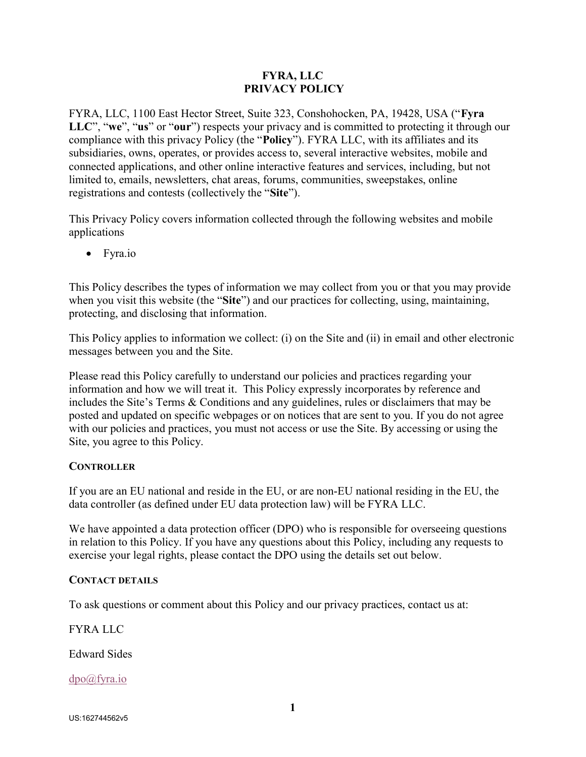### FYRA, LLC PRIVACY POLICY

FYRA, LLC, 1100 East Hector Street, Suite 323, Conshohocken, PA, 19428, USA ("Fyra LLC", "we", "us" or "our") respects your privacy and is committed to protecting it through our compliance with this privacy Policy (the "Policy"). FYRA LLC, with its affiliates and its subsidiaries, owns, operates, or provides access to, several interactive websites, mobile and connected applications, and other online interactive features and services, including, but not limited to, emails, newsletters, chat areas, forums, communities, sweepstakes, online registrations and contests (collectively the "Site").

This Privacy Policy covers information collected through the following websites and mobile applications

• Fyra.io

This Policy describes the types of information we may collect from you or that you may provide when you visit this website (the "Site") and our practices for collecting, using, maintaining, protecting, and disclosing that information.

This Policy applies to information we collect: (i) on the Site and (ii) in email and other electronic messages between you and the Site.

Please read this Policy carefully to understand our policies and practices regarding your information and how we will treat it. This Policy expressly incorporates by reference and includes the Site's Terms & Conditions and any guidelines, rules or disclaimers that may be posted and updated on specific webpages or on notices that are sent to you. If you do not agree with our policies and practices, you must not access or use the Site. By accessing or using the Site, you agree to this Policy.

# **CONTROLLER**

If you are an EU national and reside in the EU, or are non-EU national residing in the EU, the data controller (as defined under EU data protection law) will be FYRA LLC.

We have appointed a data protection officer (DPO) who is responsible for overseeing questions in relation to this Policy. If you have any questions about this Policy, including any requests to exercise your legal rights, please contact the DPO using the details set out below.

#### CONTACT DETAILS

To ask questions or comment about this Policy and our privacy practices, contact us at:

FYRA LLC

Edward Sides

dpo@fyra.io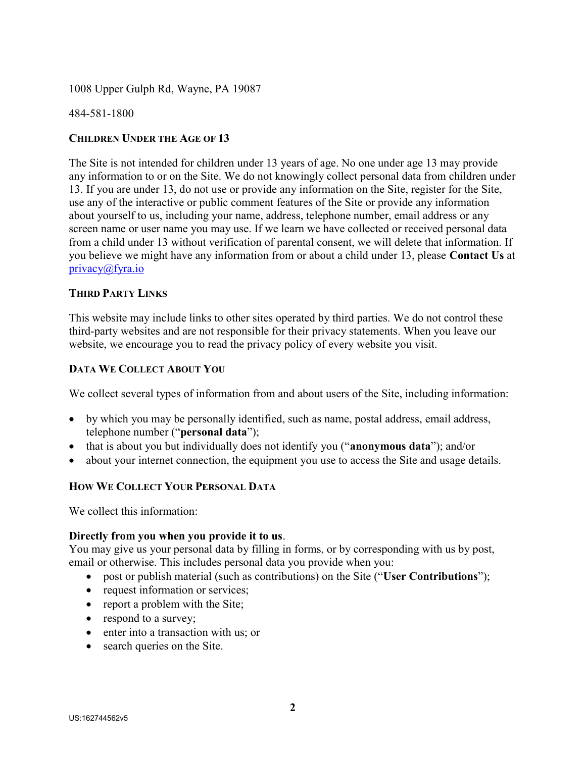1008 Upper Gulph Rd, Wayne, PA 19087

484-581-1800

### CHILDREN UNDER THE AGE OF 13

The Site is not intended for children under 13 years of age. No one under age 13 may provide any information to or on the Site. We do not knowingly collect personal data from children under 13. If you are under 13, do not use or provide any information on the Site, register for the Site, use any of the interactive or public comment features of the Site or provide any information about yourself to us, including your name, address, telephone number, email address or any screen name or user name you may use. If we learn we have collected or received personal data from a child under 13 without verification of parental consent, we will delete that information. If you believe we might have any information from or about a child under 13, please Contact Us at privacy@fyra.io

#### THIRD PARTY LINKS

This website may include links to other sites operated by third parties. We do not control these third-party websites and are not responsible for their privacy statements. When you leave our website, we encourage you to read the privacy policy of every website you visit.

#### DATA WE COLLECT ABOUT YOU

We collect several types of information from and about users of the Site, including information:

- by which you may be personally identified, such as name, postal address, email address, telephone number ("personal data");
- that is about you but individually does not identify you ("anonymous data"); and/or
- about your internet connection, the equipment you use to access the Site and usage details.

# HOW WE COLLECT YOUR PERSONAL DATA

We collect this information:

#### Directly from you when you provide it to us.

You may give us your personal data by filling in forms, or by corresponding with us by post, email or otherwise. This includes personal data you provide when you:

- post or publish material (such as contributions) on the Site ("User Contributions");
- request information or services;
- report a problem with the Site;
- respond to a survey;
- enter into a transaction with us; or
- search queries on the Site.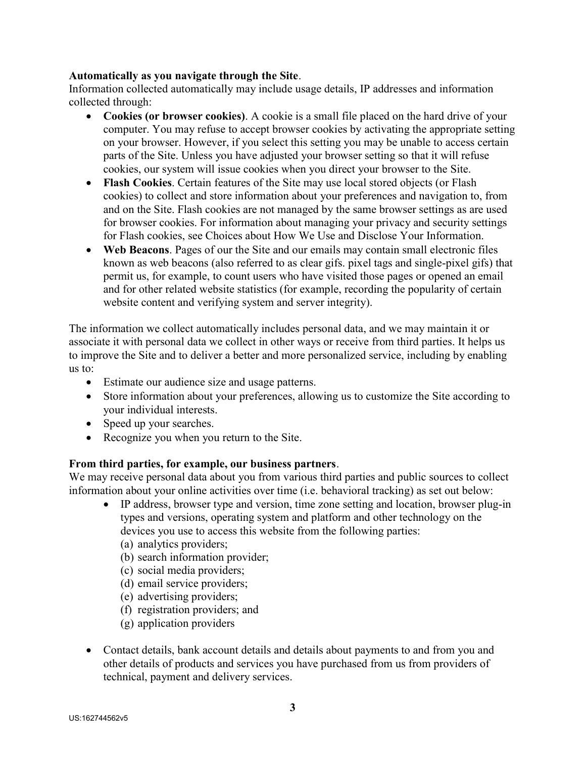### Automatically as you navigate through the Site.

Information collected automatically may include usage details, IP addresses and information collected through:

- Cookies (or browser cookies). A cookie is a small file placed on the hard drive of your computer. You may refuse to accept browser cookies by activating the appropriate setting on your browser. However, if you select this setting you may be unable to access certain parts of the Site. Unless you have adjusted your browser setting so that it will refuse cookies, our system will issue cookies when you direct your browser to the Site.
- Flash Cookies. Certain features of the Site may use local stored objects (or Flash cookies) to collect and store information about your preferences and navigation to, from and on the Site. Flash cookies are not managed by the same browser settings as are used for browser cookies. For information about managing your privacy and security settings for Flash cookies, see Choices about How We Use and Disclose Your Information.
- Web Beacons. Pages of our the Site and our emails may contain small electronic files known as web beacons (also referred to as clear gifs. pixel tags and single-pixel gifs) that permit us, for example, to count users who have visited those pages or opened an email and for other related website statistics (for example, recording the popularity of certain website content and verifying system and server integrity).

The information we collect automatically includes personal data, and we may maintain it or associate it with personal data we collect in other ways or receive from third parties. It helps us to improve the Site and to deliver a better and more personalized service, including by enabling us to:

- Estimate our audience size and usage patterns.
- Store information about your preferences, allowing us to customize the Site according to your individual interests.
- Speed up your searches.
- Recognize you when you return to the Site.

#### From third parties, for example, our business partners.

We may receive personal data about you from various third parties and public sources to collect information about your online activities over time (i.e. behavioral tracking) as set out below:

- IP address, browser type and version, time zone setting and location, browser plug-in types and versions, operating system and platform and other technology on the devices you use to access this website from the following parties:
	- (a) analytics providers;
	- (b) search information provider;
	- (c) social media providers;
	- (d) email service providers;
	- (e) advertising providers;
	- (f) registration providers; and
	- (g) application providers
- Contact details, bank account details and details about payments to and from you and other details of products and services you have purchased from us from providers of technical, payment and delivery services.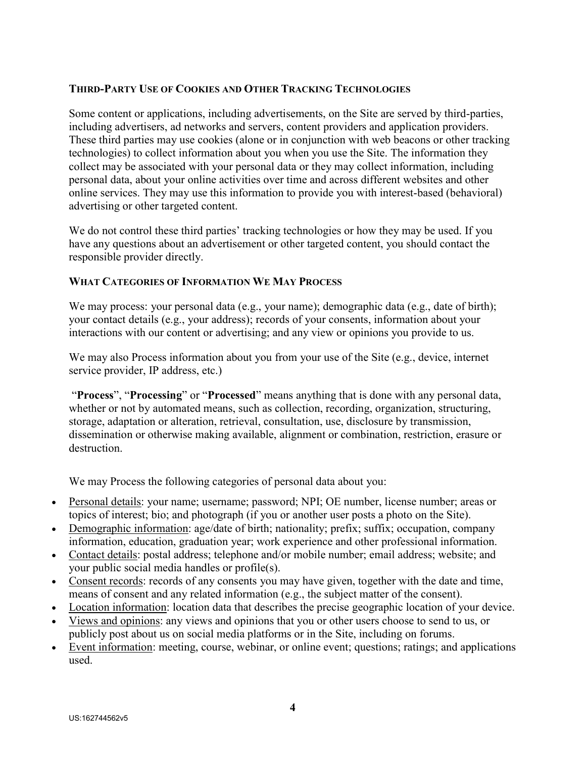## THIRD-PARTY USE OF COOKIES AND OTHER TRACKING TECHNOLOGIES

Some content or applications, including advertisements, on the Site are served by third-parties, including advertisers, ad networks and servers, content providers and application providers. These third parties may use cookies (alone or in conjunction with web beacons or other tracking technologies) to collect information about you when you use the Site. The information they collect may be associated with your personal data or they may collect information, including personal data, about your online activities over time and across different websites and other online services. They may use this information to provide you with interest-based (behavioral) advertising or other targeted content.

We do not control these third parties' tracking technologies or how they may be used. If you have any questions about an advertisement or other targeted content, you should contact the responsible provider directly.

#### WHAT CATEGORIES OF INFORMATION WE MAY PROCESS

We may process: your personal data (e.g., your name); demographic data (e.g., date of birth); your contact details (e.g., your address); records of your consents, information about your interactions with our content or advertising; and any view or opinions you provide to us.

We may also Process information about you from your use of the Site (e.g., device, internet service provider, IP address, etc.)

 "Process", "Processing" or "Processed" means anything that is done with any personal data, whether or not by automated means, such as collection, recording, organization, structuring, storage, adaptation or alteration, retrieval, consultation, use, disclosure by transmission, dissemination or otherwise making available, alignment or combination, restriction, erasure or destruction.

We may Process the following categories of personal data about you:

- Personal details: your name; username; password; NPI; OE number, license number; areas or topics of interest; bio; and photograph (if you or another user posts a photo on the Site).
- Demographic information: age/date of birth; nationality; prefix; suffix; occupation, company information, education, graduation year; work experience and other professional information.
- Contact details: postal address; telephone and/or mobile number; email address; website; and your public social media handles or profile(s).
- Consent records: records of any consents you may have given, together with the date and time, means of consent and any related information (e.g., the subject matter of the consent).
- Location information: location data that describes the precise geographic location of your device.
- Views and opinions: any views and opinions that you or other users choose to send to us, or publicly post about us on social media platforms or in the Site, including on forums.
- Event information: meeting, course, webinar, or online event; questions; ratings; and applications used.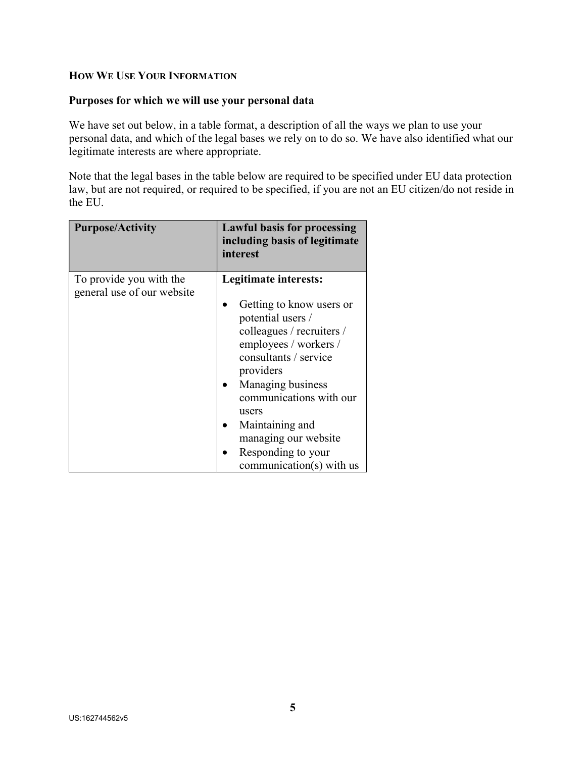## HOW WE USE YOUR INFORMATION

#### Purposes for which we will use your personal data

We have set out below, in a table format, a description of all the ways we plan to use your personal data, and which of the legal bases we rely on to do so. We have also identified what our legitimate interests are where appropriate.

Note that the legal bases in the table below are required to be specified under EU data protection law, but are not required, or required to be specified, if you are not an EU citizen/do not reside in the EU.

| <b>Purpose/Activity</b>                               | <b>Lawful basis for processing</b><br>including basis of legitimate<br>interest                                                                                                                                                                                                                                          |
|-------------------------------------------------------|--------------------------------------------------------------------------------------------------------------------------------------------------------------------------------------------------------------------------------------------------------------------------------------------------------------------------|
| To provide you with the<br>general use of our website | Legitimate interests:<br>Getting to know users or<br>potential users /<br>colleagues / recruiters /<br>employees / workers /<br>consultants / service<br>providers<br>Managing business<br>communications with our<br>users<br>Maintaining and<br>managing our website<br>Responding to your<br>communication(s) with us |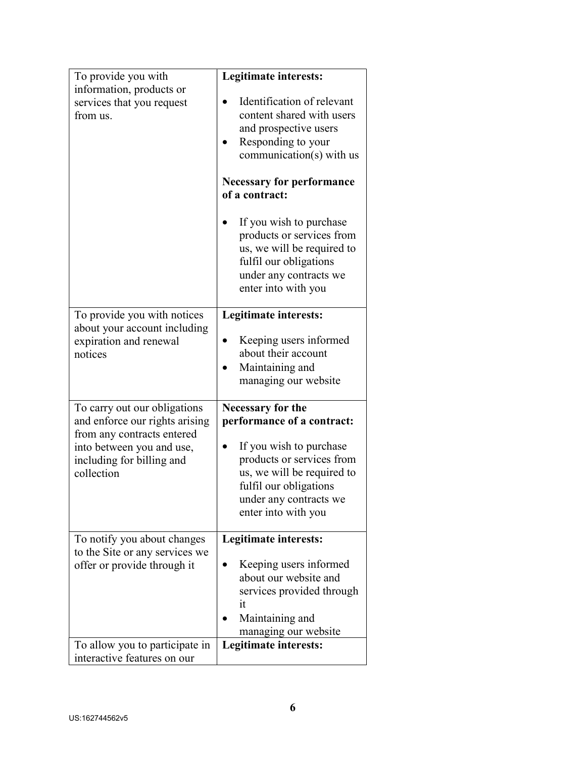| To provide you with                                                                                                                                                  | Legitimate interests:                                                                                                                                                                                                                            |
|----------------------------------------------------------------------------------------------------------------------------------------------------------------------|--------------------------------------------------------------------------------------------------------------------------------------------------------------------------------------------------------------------------------------------------|
| information, products or<br>services that you request<br>from us.                                                                                                    | Identification of relevant<br>content shared with users<br>and prospective users<br>Responding to your<br>communication(s) with us<br><b>Necessary for performance</b><br>of a contract:<br>If you wish to purchase<br>products or services from |
|                                                                                                                                                                      | us, we will be required to<br>fulfil our obligations<br>under any contracts we<br>enter into with you                                                                                                                                            |
| To provide you with notices<br>about your account including<br>expiration and renewal<br>notices                                                                     | Legitimate interests:<br>Keeping users informed<br>about their account<br>Maintaining and<br>managing our website                                                                                                                                |
| To carry out our obligations<br>and enforce our rights arising<br>from any contracts entered<br>into between you and use,<br>including for billing and<br>collection | <b>Necessary for the</b><br>performance of a contract:<br>If you wish to purchase<br>products or services from<br>us, we will be required to<br>fulfil our obligations<br>under any contracts we<br>enter into with you                          |
| To notify you about changes<br>to the Site or any services we<br>offer or provide through it                                                                         | Legitimate interests:<br>Keeping users informed<br>about our website and<br>services provided through<br>it<br>Maintaining and<br>managing our website                                                                                           |
| To allow you to participate in<br>interactive features on our                                                                                                        | Legitimate interests:                                                                                                                                                                                                                            |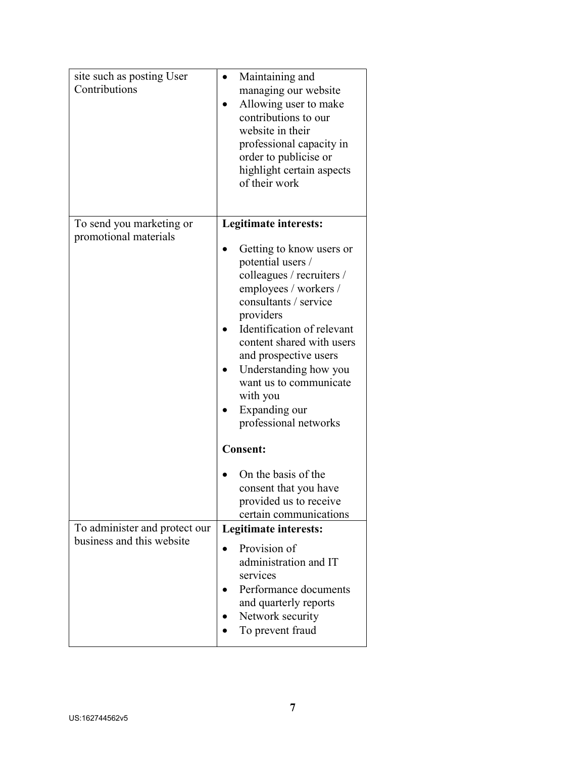| site such as posting User<br>Contributions                 | Maintaining and<br>managing our website<br>Allowing user to make<br>contributions to our<br>website in their<br>professional capacity in<br>order to publicise or<br>highlight certain aspects<br>of their work                                                                                                                                                 |
|------------------------------------------------------------|-----------------------------------------------------------------------------------------------------------------------------------------------------------------------------------------------------------------------------------------------------------------------------------------------------------------------------------------------------------------|
| To send you marketing or<br>promotional materials          | Legitimate interests:<br>Getting to know users or<br>potential users /<br>colleagues / recruiters /<br>employees / workers /<br>consultants / service<br>providers<br>Identification of relevant<br>content shared with users<br>and prospective users<br>Understanding how you<br>want us to communicate<br>with you<br>Expanding our<br>professional networks |
|                                                            | <b>Consent:</b><br>On the basis of the<br>consent that you have<br>provided us to receive<br>certain communications                                                                                                                                                                                                                                             |
| To administer and protect our<br>business and this website | Legitimate interests:<br>Provision of<br>administration and IT<br>services<br>Performance documents<br>and quarterly reports<br>Network security<br>To prevent fraud                                                                                                                                                                                            |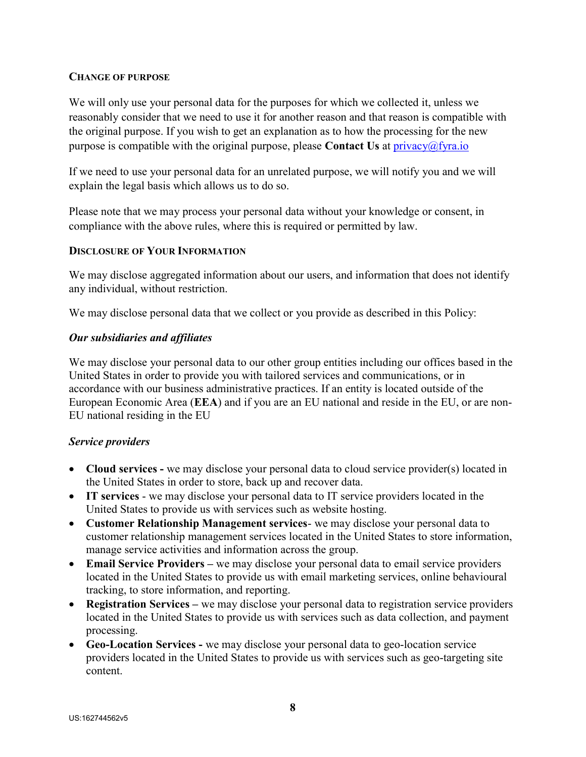### CHANGE OF PURPOSE

We will only use your personal data for the purposes for which we collected it, unless we reasonably consider that we need to use it for another reason and that reason is compatible with the original purpose. If you wish to get an explanation as to how the processing for the new purpose is compatible with the original purpose, please **Contact Us** at  $\text{privacy}(\hat{a})$ fyra.io

If we need to use your personal data for an unrelated purpose, we will notify you and we will explain the legal basis which allows us to do so.

Please note that we may process your personal data without your knowledge or consent, in compliance with the above rules, where this is required or permitted by law.

## DISCLOSURE OF YOUR INFORMATION

We may disclose aggregated information about our users, and information that does not identify any individual, without restriction.

We may disclose personal data that we collect or you provide as described in this Policy:

# Our subsidiaries and affiliates

We may disclose your personal data to our other group entities including our offices based in the United States in order to provide you with tailored services and communications, or in accordance with our business administrative practices. If an entity is located outside of the European Economic Area (EEA) and if you are an EU national and reside in the EU, or are non-EU national residing in the EU

# Service providers

- Cloud services we may disclose your personal data to cloud service provider(s) located in the United States in order to store, back up and recover data.
- IT services we may disclose your personal data to IT service providers located in the United States to provide us with services such as website hosting.
- Customer Relationship Management services- we may disclose your personal data to customer relationship management services located in the United States to store information, manage service activities and information across the group.
- Email Service Providers we may disclose your personal data to email service providers located in the United States to provide us with email marketing services, online behavioural tracking, to store information, and reporting.
- Registration Services we may disclose your personal data to registration service providers located in the United States to provide us with services such as data collection, and payment processing.
- Geo-Location Services we may disclose your personal data to geo-location service providers located in the United States to provide us with services such as geo-targeting site content.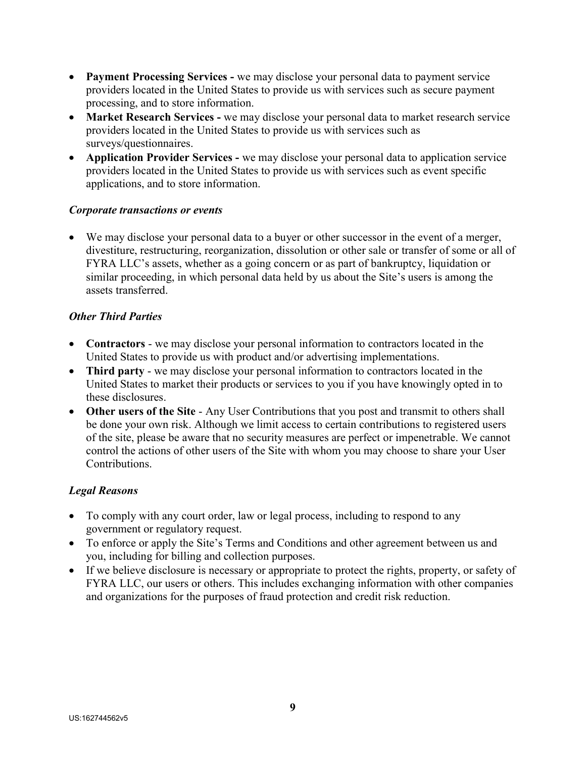- Payment Processing Services we may disclose your personal data to payment service providers located in the United States to provide us with services such as secure payment processing, and to store information.
- Market Research Services we may disclose your personal data to market research service providers located in the United States to provide us with services such as surveys/questionnaires.
- Application Provider Services we may disclose your personal data to application service providers located in the United States to provide us with services such as event specific applications, and to store information.

## Corporate transactions or events

 We may disclose your personal data to a buyer or other successor in the event of a merger, divestiture, restructuring, reorganization, dissolution or other sale or transfer of some or all of FYRA LLC's assets, whether as a going concern or as part of bankruptcy, liquidation or similar proceeding, in which personal data held by us about the Site's users is among the assets transferred.

## Other Third Parties

- Contractors we may disclose your personal information to contractors located in the United States to provide us with product and/or advertising implementations.
- Third party we may disclose your personal information to contractors located in the United States to market their products or services to you if you have knowingly opted in to these disclosures.
- Other users of the Site Any User Contributions that you post and transmit to others shall be done your own risk. Although we limit access to certain contributions to registered users of the site, please be aware that no security measures are perfect or impenetrable. We cannot control the actions of other users of the Site with whom you may choose to share your User Contributions.

# Legal Reasons

- To comply with any court order, law or legal process, including to respond to any government or regulatory request.
- To enforce or apply the Site's Terms and Conditions and other agreement between us and you, including for billing and collection purposes.
- If we believe disclosure is necessary or appropriate to protect the rights, property, or safety of FYRA LLC, our users or others. This includes exchanging information with other companies and organizations for the purposes of fraud protection and credit risk reduction.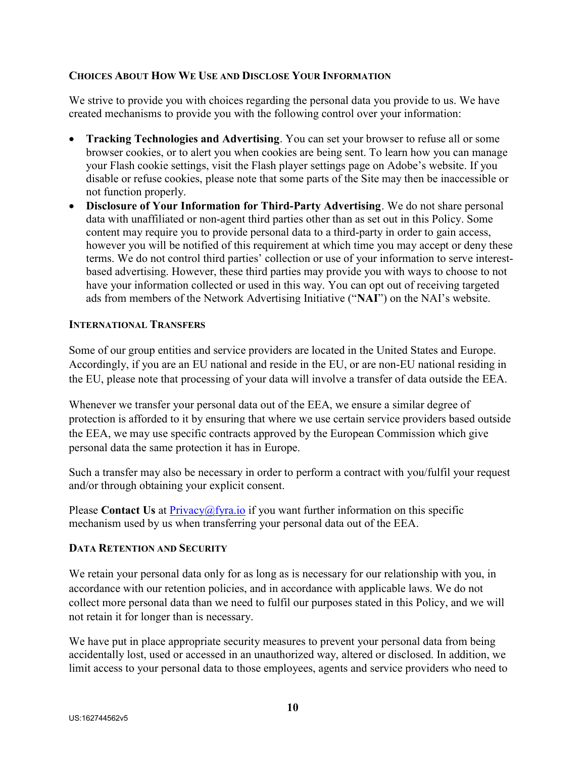## CHOICES ABOUT HOW WE USE AND DISCLOSE YOUR INFORMATION

We strive to provide you with choices regarding the personal data you provide to us. We have created mechanisms to provide you with the following control over your information:

- Tracking Technologies and Advertising. You can set your browser to refuse all or some browser cookies, or to alert you when cookies are being sent. To learn how you can manage your Flash cookie settings, visit the Flash player settings page on Adobe's website. If you disable or refuse cookies, please note that some parts of the Site may then be inaccessible or not function properly.
- Disclosure of Your Information for Third-Party Advertising. We do not share personal data with unaffiliated or non-agent third parties other than as set out in this Policy. Some content may require you to provide personal data to a third-party in order to gain access, however you will be notified of this requirement at which time you may accept or deny these terms. We do not control third parties' collection or use of your information to serve interestbased advertising. However, these third parties may provide you with ways to choose to not have your information collected or used in this way. You can opt out of receiving targeted ads from members of the Network Advertising Initiative ("NAI") on the NAI's website.

#### INTERNATIONAL TRANSFERS

Some of our group entities and service providers are located in the United States and Europe. Accordingly, if you are an EU national and reside in the EU, or are non-EU national residing in the EU, please note that processing of your data will involve a transfer of data outside the EEA.

Whenever we transfer your personal data out of the EEA, we ensure a similar degree of protection is afforded to it by ensuring that where we use certain service providers based outside the EEA, we may use specific contracts approved by the European Commission which give personal data the same protection it has in Europe.

Such a transfer may also be necessary in order to perform a contract with you/fulfil your request and/or through obtaining your explicit consent.

Please Contact Us at  $Privacy@fyra.io$  if you want further information on this specific mechanism used by us when transferring your personal data out of the EEA.

#### DATA RETENTION AND SECURITY

We retain your personal data only for as long as is necessary for our relationship with you, in accordance with our retention policies, and in accordance with applicable laws. We do not collect more personal data than we need to fulfil our purposes stated in this Policy, and we will not retain it for longer than is necessary.

We have put in place appropriate security measures to prevent your personal data from being accidentally lost, used or accessed in an unauthorized way, altered or disclosed. In addition, we limit access to your personal data to those employees, agents and service providers who need to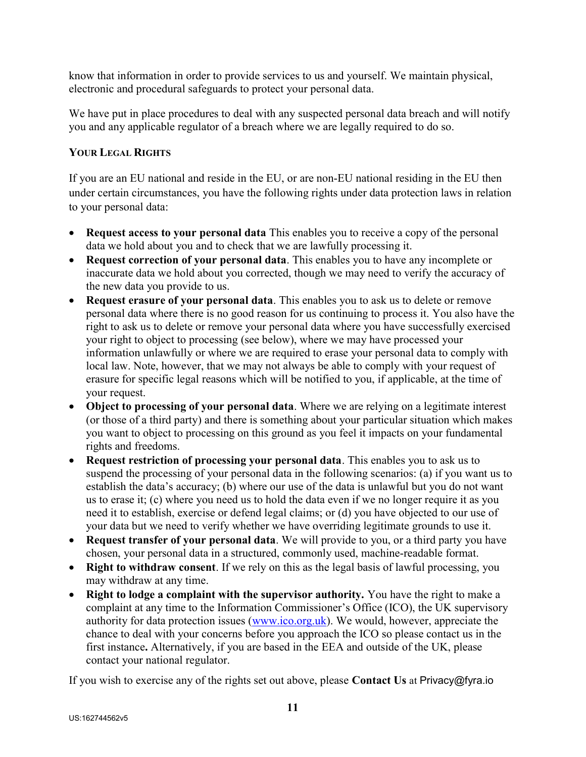know that information in order to provide services to us and yourself. We maintain physical, electronic and procedural safeguards to protect your personal data.

We have put in place procedures to deal with any suspected personal data breach and will notify you and any applicable regulator of a breach where we are legally required to do so.

# YOUR LEGAL RIGHTS

If you are an EU national and reside in the EU, or are non-EU national residing in the EU then under certain circumstances, you have the following rights under data protection laws in relation to your personal data:

- Request access to your personal data This enables you to receive a copy of the personal data we hold about you and to check that we are lawfully processing it.
- Request correction of your personal data. This enables you to have any incomplete or inaccurate data we hold about you corrected, though we may need to verify the accuracy of the new data you provide to us.
- Request erasure of your personal data. This enables you to ask us to delete or remove personal data where there is no good reason for us continuing to process it. You also have the right to ask us to delete or remove your personal data where you have successfully exercised your right to object to processing (see below), where we may have processed your information unlawfully or where we are required to erase your personal data to comply with local law. Note, however, that we may not always be able to comply with your request of erasure for specific legal reasons which will be notified to you, if applicable, at the time of your request.
- Object to processing of your personal data. Where we are relying on a legitimate interest (or those of a third party) and there is something about your particular situation which makes you want to object to processing on this ground as you feel it impacts on your fundamental rights and freedoms.
- Request restriction of processing your personal data. This enables you to ask us to suspend the processing of your personal data in the following scenarios: (a) if you want us to establish the data's accuracy; (b) where our use of the data is unlawful but you do not want us to erase it; (c) where you need us to hold the data even if we no longer require it as you need it to establish, exercise or defend legal claims; or (d) you have objected to our use of your data but we need to verify whether we have overriding legitimate grounds to use it.
- Request transfer of your personal data. We will provide to you, or a third party you have chosen, your personal data in a structured, commonly used, machine-readable format.
- Right to withdraw consent. If we rely on this as the legal basis of lawful processing, you may withdraw at any time.
- Right to lodge a complaint with the supervisor authority. You have the right to make a complaint at any time to the Information Commissioner's Office (ICO), the UK supervisory authority for data protection issues (www.ico.org.uk). We would, however, appreciate the chance to deal with your concerns before you approach the ICO so please contact us in the first instance. Alternatively, if you are based in the EEA and outside of the UK, please contact your national regulator.

If you wish to exercise any of the rights set out above, please Contact Us at Privacy@fyra.io